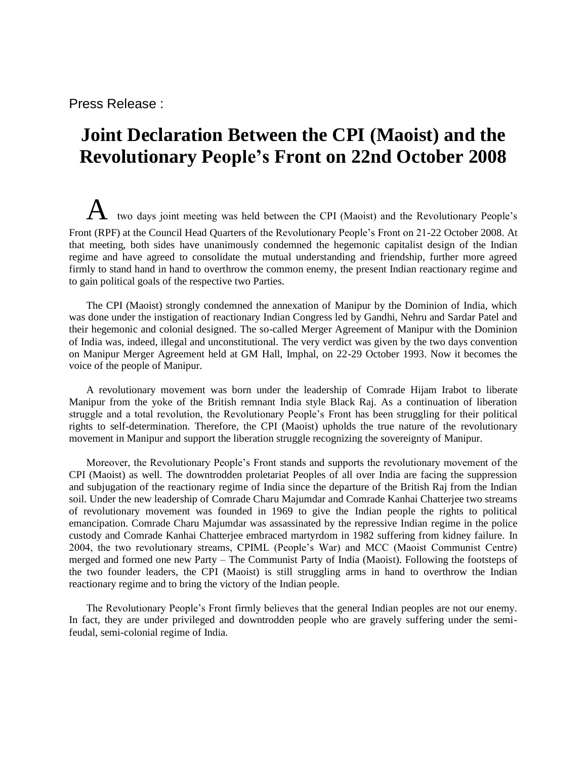Press Release :

## **Joint Declaration Between the CPI (Maoist) and the Revolutionary People's Front on 22nd October 2008**

 $A$  two days joint meeting was held between the CPI (Maoist) and the Revolutionary People's Front (RPF) at the Council Head Quarters of the Revolutionary People's Front on 21-22 October 2008. At that meeting, both sides have unanimously condemned the hegemonic capitalist design of the Indian regime and have agreed to consolidate the mutual understanding and friendship, further more agreed firmly to stand hand in hand to overthrow the common enemy, the present Indian reactionary regime and to gain political goals of the respective two Parties.

The CPI (Maoist) strongly condemned the annexation of Manipur by the Dominion of India, which was done under the instigation of reactionary Indian Congress led by Gandhi, Nehru and Sardar Patel and their hegemonic and colonial designed. The so-called Merger Agreement of Manipur with the Dominion of India was, indeed, illegal and unconstitutional. The very verdict was given by the two days convention on Manipur Merger Agreement held at GM Hall, Imphal, on 22-29 October 1993. Now it becomes the voice of the people of Manipur.

A revolutionary movement was born under the leadership of Comrade Hijam Irabot to liberate Manipur from the yoke of the British remnant India style Black Raj. As a continuation of liberation struggle and a total revolution, the Revolutionary People's Front has been struggling for their political rights to self-determination. Therefore, the CPI (Maoist) upholds the true nature of the revolutionary movement in Manipur and support the liberation struggle recognizing the sovereignty of Manipur.

Moreover, the Revolutionary People's Front stands and supports the revolutionary movement of the CPI (Maoist) as well. The downtrodden proletariat Peoples of all over India are facing the suppression and subjugation of the reactionary regime of India since the departure of the British Raj from the Indian soil. Under the new leadership of Comrade Charu Majumdar and Comrade Kanhai Chatterjee two streams of revolutionary movement was founded in 1969 to give the Indian people the rights to political emancipation. Comrade Charu Majumdar was assassinated by the repressive Indian regime in the police custody and Comrade Kanhai Chatterjee embraced martyrdom in 1982 suffering from kidney failure. In 2004, the two revolutionary streams, CPIML (People's War) and MCC (Maoist Communist Centre) merged and formed one new Party – The Communist Party of India (Maoist). Following the footsteps of the two founder leaders, the CPI (Maoist) is still struggling arms in hand to overthrow the Indian reactionary regime and to bring the victory of the Indian people.

The Revolutionary People's Front firmly believes that the general Indian peoples are not our enemy. In fact, they are under privileged and downtrodden people who are gravely suffering under the semifeudal, semi-colonial regime of India.